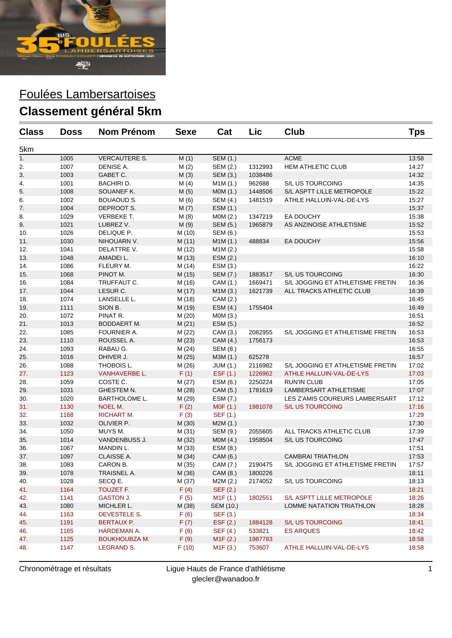

| <b>Class</b> | <b>Doss</b> | <b>Nom Prénom</b>    | Sexe   | Cat                  | Lic     | <b>Club</b>                      | Tps   |
|--------------|-------------|----------------------|--------|----------------------|---------|----------------------------------|-------|
| 5km          |             |                      |        |                      |         |                                  |       |
| 1.           | 1005        | VERCAUTERE S.        | M(1)   | SEM (1.)             |         | <b>ACME</b>                      | 13:58 |
| 2.           | 1007        | DENISE A.            | M(2)   | SEM (2.)             | 1312993 | <b>HEM ATHLETIC CLUB</b>         | 14:27 |
| 3.           | 1003        | GABET C.             | M(3)   | SEM (3.)             | 1038486 |                                  | 14:32 |
| 4.           | 1001        | BACHIRI D.           | M(4)   | M1M (1.)             | 962688  | S/L US TOURCOING                 | 14:35 |
| 5.           | 1008        | SOUANEF K.           | M(5)   | MOM (1.)             | 1448506 | S/L ASPTT LILLE METROPOLE        | 15:22 |
| 6.           | 1002        | <b>BOUAOUD S.</b>    | M(6)   | SEM (4.)             | 1481519 | ATHLE HALLUIN-VAL-DE-LYS         | 15:27 |
| 7.           | 1004        | DEPROOT S.           | M(7)   | ESM (1.)             |         |                                  | 15:37 |
| 8.           | 1029        | VERBEKE T.           | M(8)   | MOM(2.)              | 1347219 | EA DOUCHY                        | 15:38 |
| 9.           | 1021        | LUBREZ V.            | M(9)   | SEM (5.)             | 1965879 | AS ANZINOISE ATHLETISME          | 15:52 |
| 10.          | 1026        | DELIQUE P.           | M (10) | SEM (6.)             |         |                                  | 15:53 |
| 11.          | 1030        | NIHOUARN V.          | M(11)  | M1M(1.)              | 488834  | <b>EA DOUCHY</b>                 | 15:56 |
| 12.          | 1041        | DELATTRE V.          | M (12) | M1M(2.)              |         |                                  | 15:58 |
| 13.          | 1048        | AMADEI L.            | M(13)  | ESM(2.)              |         |                                  | 16:10 |
| 14.          | 1086        | FLEURY M.            | M (14) | ESM (3.)             |         |                                  | 16:22 |
| 15.          | 1068        | PINOT M.             | M (15) | SEM (7.)             | 1883517 | <b>S/L US TOURCOING</b>          | 16:30 |
| 16.          | 1084        | TRUFFAUT C.          | M (16) | CAM (1.)             | 1669471 | S/L JOGGING ET ATHLETISME FRETIN | 16:36 |
| 17.          | 1044        | LESUR C.             | M (17) | M1M(3.)              | 1621739 | ALL TRACKS ATHLETIC CLUB         | 16:39 |
| 18.          | 1074        | LANSELLE L.          | M (18) | CAM (2.)             |         |                                  | 16:45 |
| 19.          | 1111        | SION B.              | M (19) | ESM (4.)             | 1755404 |                                  | 16:49 |
| 20.          | 1072        | PINAT R.             | M(20)  | M0M (3.)             |         |                                  | 16:51 |
| 21.          | 1013        | BODDAERT M.          | M(21)  | ESM (5.)             |         |                                  | 16:52 |
| 22.          | 1085        | FOURNIER A.          | M (22) | CAM (3.)             | 2082955 | S/L JOGGING ET ATHLETISME FRETIN | 16:53 |
| 23.          | 1110        | ROUSSEL A.           | M(23)  | CAM (4.)             | 1756173 |                                  | 16:53 |
| 24.          | 1093        | RABAU G.             | M(24)  | SEM (8.)             |         |                                  | 16:55 |
| 25.          | 1016        | DHIVER J.            | M(25)  | M3M (1.)             | 625278  |                                  | 16:57 |
| 26.          | 1088        | THOBOIS L.           | M (26) | JUM (1.)             | 2116982 | S/L JOGGING ET ATHLETISME FRETIN | 17:02 |
| 27.          | 1123        | <b>VANHAVERBE L.</b> | F(1)   | EST(1.)              | 1226962 | ATHLE HALLUIN-VAL-DE-LYS         | 17:03 |
| 28.          | 1059        | COSTE C.             | M(27)  | ESM (6.)             | 2250224 | <b>RUN'IN CLUB</b>               | 17:05 |
| 29.          | 1031        | GHESTEM N.           | M(28)  | CAM (5.)             | 1781619 | LAMBERSART ATHLETISME            | 17:07 |
| 30.          | 1020        | <b>BARTHOLOME L.</b> | M (29) | ESM (7.)             |         | LES Z'AMIS COUREURS LAMBERSART   | 17:12 |
| 31.          | 1130        | NOEL M.              | F(2)   | MOF(1.)              | 1981078 | S/L US TOURCOING                 | 17:16 |
| 32.          | 1168        | <b>RICHART M.</b>    | F(3)   | SEF (1.)             |         |                                  | 17:29 |
| 33.          | 1032        | OLIVIER P.           | M(30)  | M2M(1.)              |         |                                  | 17:30 |
| 34.          | 1050        | MUYS M.              | M (31) | SEM (9.)             | 2055605 | ALL TRACKS ATHLETIC CLUB         | 17:39 |
| 35.          | 1014        | VANDENBUSS J.        | M(32)  | MOM(4.)              | 1958504 | S/L US TOURCOING                 | 17:47 |
| 36.          | 1067        | MANDIN L.            | M(33)  | ESM (8.)             |         |                                  | 17:51 |
| 37.          | 1097        | CLAISSE A.           | M(34)  | CAM (6.)             |         | <b>CAMBRAI TRIATHLON</b>         | 17:53 |
| 38           | 1083        | CARON B.             | M (35) | CAM (7.)             | 2190475 | S/L JOGGING ET ATHLETISME FRETIN | 17:57 |
| 39.          | 1078        | TRAISNEL A.          | M (36) | CAM (8.)             | 1800226 |                                  | 18:11 |
| 40.          | 1028        | SECQ E.              | M (37) | M2M (2.)             | 2174052 | S/L US TOURCOING                 | 18:13 |
| 41.          | 1164        | TOUZET F.            | F(4)   | SEF (2.)             |         |                                  | 18:21 |
| 42.          | 1141        | <b>GASTON J.</b>     | F(5)   | M <sub>1</sub> F(1.) | 1802551 | S/L ASPTT LILLE METROPOLE        | 18:26 |
| 43.          | 1080        | MICHLER L.           | M (38) | SEM (10.)            |         | LOMME NATATION TRIATHLON         | 18:28 |
| 44.          | 1163        | DEVESTELE S.         | F(6)   | SEF (3.)             |         |                                  | 18:34 |
| 45.          | 1191        | <b>BERTAUX P.</b>    | F(7)   | EST(2.)              | 1884128 | <b>S/L US TOURCOING</b>          | 18:41 |
| 46.          | 1165        | <b>HARDEMAN A.</b>   | F(8)   | SEF (4.)             | 533821  | <b>ES ARQUES</b>                 | 18:42 |
| 47.          | 1125        | <b>BOUKHOUBZA M.</b> | F(9)   | M1F(2.)              | 1987783 |                                  | 18:58 |
| 48.          | 1147        | LEGRAND S.           | F(10)  | M1F(3.)              | 753607  | ATHLE HALLUIN-VAL-DE-LYS         | 18:58 |

Chronométrage et résultats Ligue Hauts de France d'athlétisme glecler@wanadoo.fr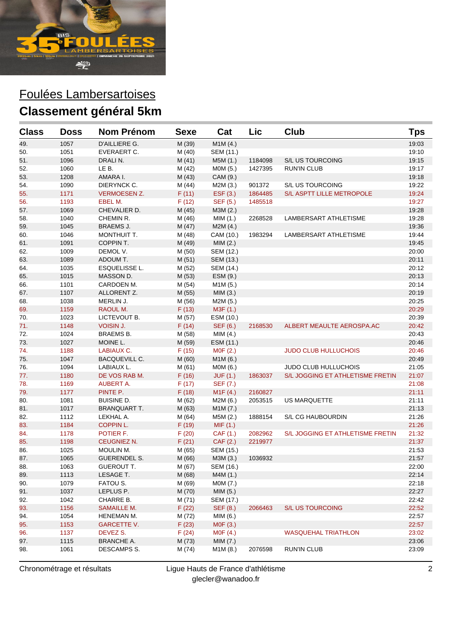

| <b>Class</b> | <b>Doss</b> | <b>Nom Prénom</b>    | <b>Sexe</b> | Cat       | Lic     | Club                             | <b>Tps</b> |
|--------------|-------------|----------------------|-------------|-----------|---------|----------------------------------|------------|
| 49.          | 1057        | D'AILLIERE G.        | M (39)      | M1M (4.)  |         |                                  | 19:03      |
| 50.          | 1051        | EVERAERT C.          | M (40)      | SEM (11.) |         |                                  | 19:10      |
| 51.          | 1096        | DRALIN.              | M(41)       | M5M (1.)  | 1184098 | S/L US TOURCOING                 | 19:15      |
| 52.          | 1060        | LE B.                | M (42)      | MOM (5.)  | 1427395 | <b>RUN'IN CLUB</b>               | 19:17      |
| 53.          | 1208        | AMARA I.             | M (43)      | CAM (9.)  |         |                                  | 19:18      |
| 54.          | 1090        | DIERYNCK C.          | M (44)      | M2M (3.)  | 901372  | S/L US TOURCOING                 | 19:22      |
| 55.          | 1171        | <b>VERMOESEN Z.</b>  | F(11)       | EST(3.)   | 1864485 | S/L ASPTT LILLE METROPOLE        | 19:24      |
| 56.          | 1193        | EBEL M.              | F(12)       | SEF (5.)  | 1485518 |                                  | 19:27      |
| 57.          | 1069        | CHEVALIER D.         | M (45)      | M3M (2.)  |         |                                  | 19:28      |
| 58.          | 1040        | CHEMIN R.            | M (46)      | MIM(1.)   | 2268528 | LAMBERSART ATHLETISME            | 19:28      |
| 59.          | 1045        | <b>BRAEMS J.</b>     | M (47)      | M2M(4.)   |         |                                  | 19:36      |
| 60.          | 1046        | MONTHUIT T.          | M (48)      | CAM (10.) | 1983294 | LAMBERSART ATHLETISME            | 19:44      |
| 61.          | 1091        | COPPIN T.            | M (49)      | MIM(2.)   |         |                                  | 19:45      |
| 62.          | 1009        | DEMOL V.             | M (50)      | SEM (12.) |         |                                  | 20:00      |
| 63.          | 1089        | ADOUM T.             | M(51)       | SEM (13.) |         |                                  | 20:11      |
| 64.          | 1035        | <b>ESQUELISSE L.</b> | M (52)      | SEM (14.) |         |                                  | 20:12      |
| 65.          | 1015        | MASSON D.            | M (53)      | ESM (9.)  |         |                                  | 20:13      |
| 66.          | 1101        | CARDOEN M.           | M (54)      | M1M(5.)   |         |                                  | 20:14      |
| 67.          | 1107        | ALLORENT Z.          | M (55)      | MIM(3.)   |         |                                  | 20:19      |
| 68.          | 1038        | MERLIN J.            | M (56)      | M2M (5.)  |         |                                  | 20:25      |
| 69.          | 1159        | RAOUL M.             | F(13)       | M3F (1.)  |         |                                  | 20:29      |
| 70.          | 1023        | LICTEVOUT B.         | M (57)      | ESM (10.) |         |                                  | 20:39      |
| 71.          | 1148        | <b>VOISIN J.</b>     | F(14)       | SEF (6.)  | 2168530 | ALBERT MEAULTE AEROSPA.AC        | 20:42      |
| 72.          | 1024        | <b>BRAEMS B.</b>     | M (58)      | MIM(4.)   |         |                                  | 20:43      |
| 73.          | 1027        | MOINE L.             | M (59)      | ESM (11.) |         |                                  | 20:46      |
| 74.          | 1188        | LABIAUX C.           | F(15)       | MOF(2.)   |         | <b>JUDO CLUB HULLUCHOIS</b>      | 20:46      |
| 75.          | 1047        | <b>BACQUEVILL C.</b> | M(60)       | M1M(6.)   |         |                                  | 20:49      |
| 76.          | 1094        | LABIAUX L.           | M (61)      | MOM(6.)   |         | <b>JUDO CLUB HULLUCHOIS</b>      | 21:05      |
| 77.          | 1180        | DE VOS RAB M.        | F(16)       | JUF(1.)   | 1863037 | S/L JOGGING ET ATHLETISME FRETIN | 21:07      |
| 78.          | 1169        | <b>AUBERT A.</b>     | F(17)       | SEF (7.)  |         |                                  | 21:08      |
| 79.          | 1177        | PINTE P.             | F(18)       | M1F(4.)   | 2160827 |                                  | 21:11      |
| 80.          | 1081        | <b>BUISINE D.</b>    | M (62)      | M2M (6.)  | 2053515 | <b>US MARQUETTE</b>              | 21:11      |
| 81.          | 1017        | <b>BRANQUART T.</b>  | M (63)      | M1M(7.)   |         |                                  | 21:13      |
| 82.          | 1112        | LEKHAL A.            | M (64)      | M5M (2.)  | 1888154 | S/L CG HAUBOURDIN                | 21:26      |
| 83.          | 1184        | <b>COPPIN L.</b>     | F(19)       | MIF(1.)   |         |                                  | 21:26      |
| 84.          | 1178        | POTIER F.            | F(20)       | CAF (1.)  | 2082962 | S/L JOGGING ET ATHLETISME FRETIN | 21:32      |
| 85.          | 1198        | CEUGNIEZ N.          | F(21)       | CAF (2.)  | 2219977 |                                  | 21:37      |
| 86.          | 1025        | MOULIN M.            | M (65)      | SEM (15.) |         |                                  | 21:53      |
| 87.          | 1065        | <b>GUERENDEL S.</b>  | M (66)      | M3M (3.)  | 1036932 |                                  | 21:57      |
| 88.          | 1063        | GUEROUT T.           | M (67)      | SEM (16.) |         |                                  | 22:00      |
| 89.          | 1113        | LESAGE T.            | M (68)      | M4M (1.)  |         |                                  | 22:14      |
| 90.          | 1079        | FATOU S.             | M (69)      | MOM (7.)  |         |                                  | 22:18      |
| 91.          | 1037        | LEPLUS P.            | M (70)      | MIM (5.)  |         |                                  | 22:27      |
| 92.          | 1042        | CHARRE B.            | M (71)      | SEM (17.) |         |                                  | 22:42      |
| 93.          | 1156        | <b>SAMAILLE M.</b>   | F(22)       | SEF (8.)  | 2066463 | S/L US TOURCOING                 | 22:52      |
| 94.          | 1054        | HENEMAN M.           | M (72)      | MIM (6.)  |         |                                  | 22:57      |
| 95.          | 1153        | <b>GARCETTE V.</b>   | F(23)       | M0F (3.)  |         |                                  | 22:57      |
| 96.          | 1137        | DEVEZ S.             | F(24)       | MOF(4.)   |         | <b>WASQUEHAL TRIATHLON</b>       | 23:02      |
| 97.          | 1115        | <b>BRANCHE A.</b>    | M (73)      | MIM(7.)   |         |                                  | 23:06      |
| 98.          | 1061        | DESCAMPS S.          | M (74)      | M1M(8.)   | 2076598 | <b>RUN'IN CLUB</b>               | 23:09      |

Chronométrage et résultats Ligue Hauts de France d'athlétisme glecler@wanadoo.fr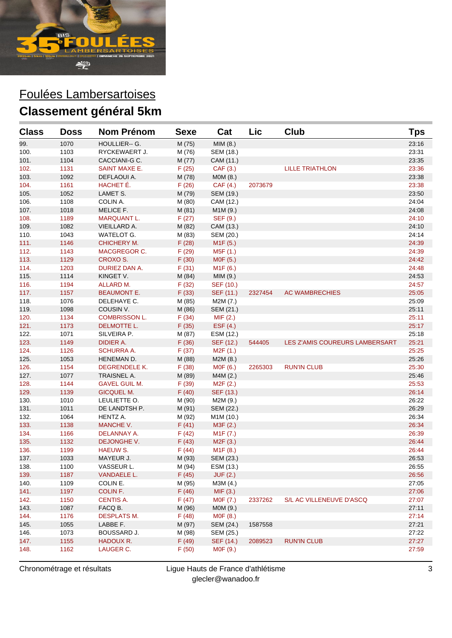

| <b>Class</b> | <b>Doss</b> | <b>Nom Prénom</b>    | <b>Sexe</b> | Cat                    | Lic     | Club                           | Tps   |
|--------------|-------------|----------------------|-------------|------------------------|---------|--------------------------------|-------|
| 99.          | 1070        | HOULLIER-- G.        | M (75)      | MIM (8.)               |         |                                | 23:16 |
| 100.         | 1103        | RYCKEWAERT J.        | M (76)      | SEM (18.)              |         |                                | 23:31 |
| 101.         | 1104        | CACCIANI-G C.        | M (77)      | CAM (11.)              |         |                                | 23:35 |
| 102.         | 1131        | <b>SAINT MAXE E.</b> | F(25)       | CAF (3.)               |         | <b>LILLE TRIATHLON</b>         | 23:36 |
| 103.         | 1092        | DEFLAOUI A.          | M (78)      | MOM(8.)                |         |                                | 23:38 |
| 104.         | 1161        | HACHET E.            | F(26)       | CAF (4.)               | 2073679 |                                | 23:38 |
| 105.         | 1052        | LAMET S.             | M (79)      | SEM (19.)              |         |                                | 23:50 |
| 106.         | 1108        | COLIN A.             | M (80)      | CAM (12.)              |         |                                | 24:04 |
| 107.         | 1018        | <b>MELICE F.</b>     | M(81)       | M1M (9.)               |         |                                | 24:08 |
| 108.         | 1189        | <b>MARQUANT L.</b>   | F(27)       | SEF (9.)               |         |                                | 24:10 |
| 109.         | 1082        | VIEILLARD A.         | M (82)      | CAM (13.)              |         |                                | 24:10 |
| 110.         | 1043        | WATELOT G.           | M (83)      | SEM (20.)              |         |                                | 24:14 |
| 111.         | 1146        | <b>CHICHERY M.</b>   | F(28)       | M <sub>1</sub> F (5.)  |         |                                | 24:39 |
| 112.         | 1143        | <b>MACGREGOR C.</b>  | F(29)       | M5F (1.)               |         |                                | 24:39 |
| 113.         | 1129        | <b>CROXO S.</b>      | F(30)       | M0F (5.)               |         |                                | 24:42 |
| 114.         | 1203        | DURIEZ DAN A.        | F(31)       | M <sub>1</sub> F (6.)  |         |                                | 24:48 |
| 115.         | 1114        | KINGET V.            | M (84)      | MIM(9.)                |         |                                | 24:53 |
| 116.         | 1194        | ALLARD M.            | F(32)       | SEF (10.)              |         |                                | 24:57 |
| 117.         | 1157        | <b>BEAUMONT E.</b>   | F(33)       | SEF (11.)              | 2327454 | <b>AC WAMBRECHIES</b>          | 25:05 |
| 118.         | 1076        | DELEHAYE C.          | M (85)      | M2M (7.)               |         |                                | 25:09 |
| 119.         | 1098        | COUSIN V.            | M (86)      | SEM (21.)              |         |                                | 25:11 |
| 120.         | 1134        | <b>COMBRISSON L.</b> | F(34)       | MIF (2.)               |         |                                | 25:11 |
| 121.         | 1173        | <b>DELMOTTE L.</b>   | F(35)       | EST(4.)                |         |                                | 25:17 |
| 122.         | 1071        | SILVEIRA P.          | M (87)      | ESM (12.)              |         |                                | 25:18 |
| 123.         | 1149        | DIDIER A.            | F(36)       | SEF (12.)              | 544405  | LES Z'AMIS COUREURS LAMBERSART | 25:21 |
| 124.         | 1126        | <b>SCHURRA A.</b>    | F(37)       | M2F (1.)               |         |                                | 25:25 |
| 125.         | 1053        | HENEMAN D.           | M (88)      | M2M(8.)                |         |                                | 25:26 |
| 126.         | 1154        | DEGRENDELE K.        | F(38)       | M0F (6.)               | 2265303 | <b>RUN'IN CLUB</b>             | 25:30 |
| 127.         | 1077        | TRAISNEL A.          | M (89)      | M4M (2.)               |         |                                | 25:46 |
| 128.         | 1144        | <b>GAVEL GUIL M.</b> | F(39)       | M <sub>2</sub> F (2.)  |         |                                | 25:53 |
| 129.         | 1139        | <b>GICQUEL M.</b>    | F(40)       | SEF (13.)              |         |                                | 26:14 |
| 130.         | 1010        | LEULIETTE O.         | M (90)      | M2M (9.)               |         |                                | 26:22 |
| 131.         | 1011        | DE LANDTSH P.        | M (91)      | SEM (22.)              |         |                                | 26:29 |
| 132.         | 1064        | HENTZ A.             | M (92)      | M <sub>1</sub> M (10.) |         |                                | 26:34 |
| 133.         | 1138        | MANCHE V.            | F(41)       | M3F (2.)               |         |                                | 26:34 |
| 134.         | 1166        | DELANNAY A.          | F(42)       | M <sub>1</sub> F (7.)  |         |                                | 26:39 |
| 135.         | 1132        | DEJONGHE V.          | F(43)       | M <sub>2</sub> F (3.)  |         |                                | 26:44 |
| 136.         | 1199        | <b>HAEUW S.</b>      | F(44)       | M <sub>1</sub> F (8.)  |         |                                | 26:44 |
| 137.         | 1033        | MAYEUR J.            | M (93)      | SEM (23.)              |         |                                | 26:53 |
| 138.         | 1100        | VASSEUR L.           | M (94)      | ESM (13.)              |         |                                | 26.55 |
| 139.         | 1187        | <b>VANDAELE L.</b>   | F(45)       | <b>JUF (2.)</b>        |         |                                | 26:56 |
| 140.         | 1109        | COLIN E.             | M (95)      | M3M (4.)               |         |                                | 27:05 |
| 141.         | 1197        | COLIN F.             | F(46)       | MIF(3.)                |         |                                | 27:06 |
| 142.         | 1150        | <b>CENTIS A.</b>     | F(47)       | MOF (7.)               | 2337262 | S/L AC VILLENEUVE D'ASCQ       | 27:07 |
| 143.         | 1087        | FACQ B.              | M (96)      | MOM (9.)               |         |                                | 27:11 |
| 144.         | 1176        | <b>DESPLATS M.</b>   | F(48)       | M0F (8.)               |         |                                | 27:14 |
| 145.         | 1055        | LABBE F.             | M (97)      | SEM (24.)              | 1587558 |                                | 27:21 |
| 146.         | 1073        | BOUSSARD J.          | M (98)      | SEM (25.)              |         |                                | 27:22 |
| 147.         | 1155        | HADOUX R.            | F(49)       | SEF (14.)              | 2089523 | <b>RUN'IN CLUB</b>             | 27:27 |
| 148.         | 1162        | LAUGER C.            | F(50)       | MOF (9.)               |         |                                | 27:59 |
|              |             |                      |             |                        |         |                                |       |

Chronométrage et résultats Ligue Hauts de France d'athlétisme glecler@wanadoo.fr